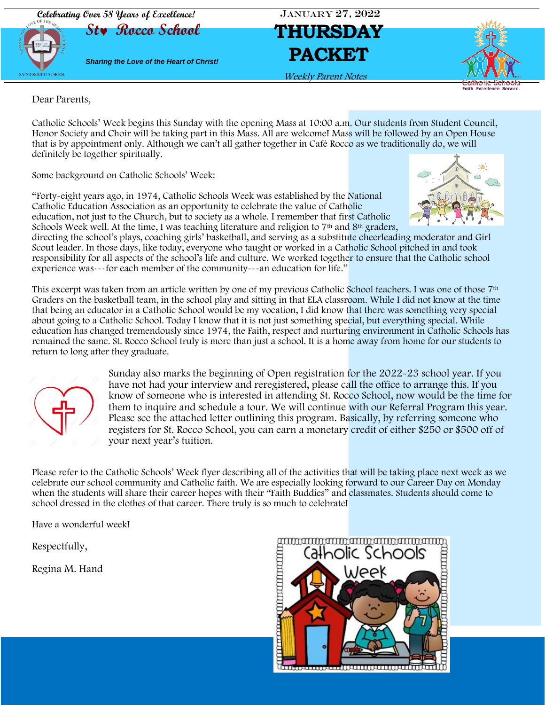



Weekly Parent Notes



Dear Parents,

Catholic Schools' Week begins this Sunday with the opening Mass at 10:00 a.m. Our students from Student Council, Honor Society and Choir will be taking part in this Mass. All are welcome! Mass will be followed by an Open House that is by appointment only. Although we can't all gather together in Café Rocco as we traditionally do, we will definitely be together spiritually.

Some background on Catholic Schools' Week:

"Forty-eight years ago, in 1974, Catholic Schools Week was established by the National Catholic Education Association as an opportunity to celebrate the value of Catholic education, not just to the Church, but to society as a whole. I remember that first Catholic Schools Week well. At the time, I was teaching literature and religion to 7<sup>th</sup> and 8<sup>th</sup> graders,



directing the school's plays, coaching girls' basketball, and serving as a substitute cheerleading moderator and Girl Scout leader. In those days, like today, everyone who taught or worked in a Catholic School pitched in and took responsibility for all aspects of the school's life and culture. We worked together to ensure that the Catholic school experience was---for each member of the community---an education for life."

This excerpt was taken from an article written by one of my previous Catholic School teachers. I was one of those 7th Graders on the basketball team, in the school play and sitting in that ELA classroom. While I did not know at the time that being an educator in a Catholic School would be my vocation, I did know that there was something very special about going to a Catholic School. Today I know that it is not just something special, but everything special. While education has changed tremendously since 1974, the Faith, respect and nurturing environment in Catholic Schools has remained the same. St. Rocco School truly is more than just a school. It is a home away from home for our students to return to long after they graduate.



Sunday also marks the beginning of Open registration for the 2022-23 school year. If you have not had your interview and reregistered, please call the office to arrange this. If you know of someone who is interested in attending St. Rocco School, now would be the time for them to inquire and schedule a tour. We will continue with our Referral Program this year. Please see the attached letter outlining this program. Basically, by referring someone who registers for St. Rocco School, you can earn a monetary credit of either \$250 or \$500 off of your next year's tuition.

Please refer to the Catholic Schools' Week flyer describing all of the activities that will be taking place next week as we celebrate our school community and Catholic faith. We are especially looking forward to our Career Day on Monday when the students will share their career hopes with their "Faith Buddies" and classmates. Students should come to school dressed in the clothes of that career. There truly is so much to celebrate!

Have a wonderful week!

Respectfully,

Regina M. Hand

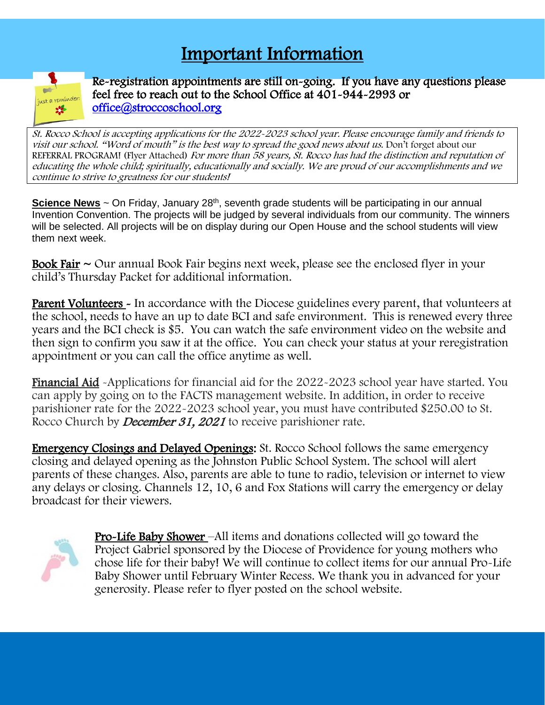## Important Information



Re-registration appointments are still on-going. If you have any questions please feel free to reach out to the School Office at 401-944-2993 or [office@stroccoschool.org](mailto:office@stroccoschool.org) 

St. Rocco School is accepting applications for the 2022-2023 school year. Please encourage family and friends to visit our school. "Word of mouth" is the best way to spread the good news about us. Don't forget about our REFERRAL PROGRAM! (Flyer Attached) For more than 58 years, St. Rocco has had the distinction and reputation of educating the whole child; spiritually, educationally and socially. We are proud of our accomplishments and we continue to strive to greatness for our students!

Science News ~ On Friday, January 28<sup>th</sup>, seventh grade students will be participating in our annual Invention Convention. The projects will be judged by several individuals from our community. The winners will be selected. All projects will be on display during our Open House and the school students will view them next week.

**Book Fair**  $\sim$  Our annual Book Fair begins next week, please see the enclosed flyer in your child's Thursday Packet for additional information.

**Parent Volunteers** - In accordance with the Diocese guidelines every parent, that volunteers at the school, needs to have an up to date BCI and safe environment. This is renewed every three years and the BCI check is \$5. You can watch the safe environment video on the website and then sign to confirm you saw it at the office. You can check your status at your reregistration appointment or you can call the office anytime as well.

Financial Aid -Applications for financial aid for the 2022-2023 school year have started. You can apply by going on to the FACTS management website. In addition, in order to receive parishioner rate for the 2022-2023 school year, you must have contributed \$250.00 to St. Rocco Church by *December 31, 2021* to receive parishioner rate.

Emergency Closings and Delayed Openings: St. Rocco School follows the same emergency closing and delayed opening as the Johnston Public School System. The school will alert parents of these changes. Also, parents are able to tune to radio, television or internet to view any delays or closing. Channels 12, 10, 6 and Fox Stations will carry the emergency or delay broadcast for their viewers.



Pro-Life Baby Shower –All items and donations collected will go toward the Project Gabriel sponsored by the Diocese of Providence for young mothers who chose life for their baby! We will continue to collect items for our annual Pro-Life Baby Shower until February Winter Recess. We thank you in advanced for your generosity. Please refer to flyer posted on the school website.